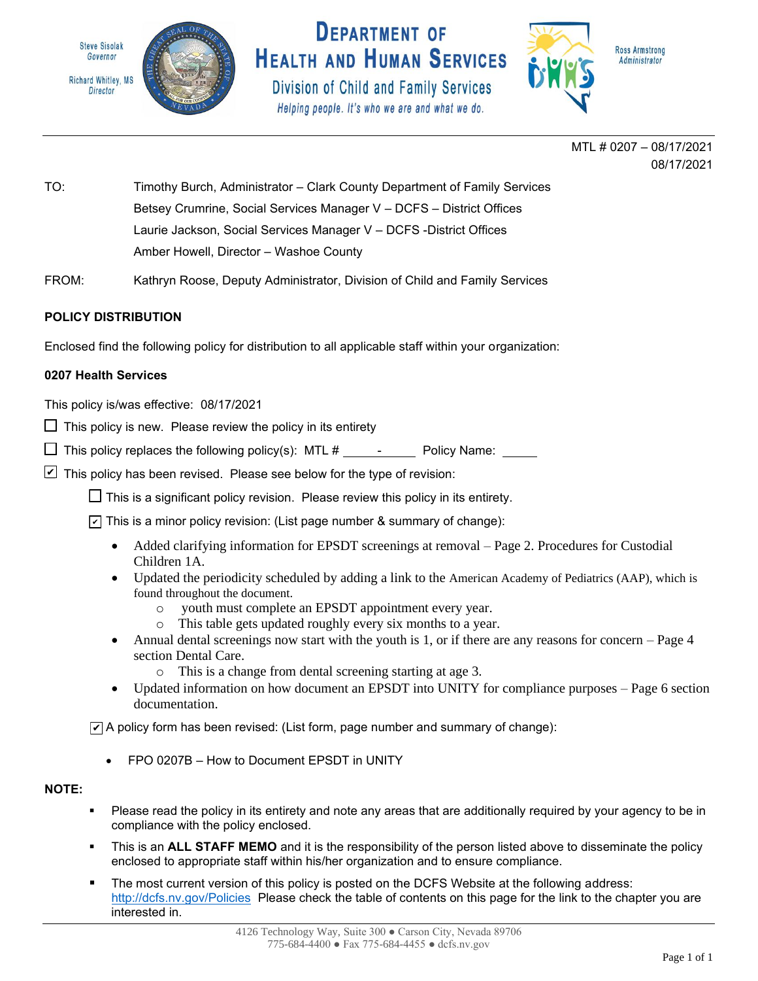



Division of Child and Family Services Helping people. It's who we are and what we do.



Administrator

MTL # 0207 – 08/17/2021 08/17/2021

TO: Timothy Burch, Administrator – Clark County Department of Family Services Betsey Crumrine, Social Services Manager V – DCFS – District Offices Laurie Jackson, Social Services Manager V – DCFS -District Offices Amber Howell, Director – Washoe County

FROM: Kathryn Roose, Deputy Administrator, Division of Child and Family Services

# **POLICY DISTRIBUTION**

Enclosed find the following policy for distribution to all applicable staff within your organization:

## **0207 Health Services**

This policy is/was effective: 08/17/2021

- $\Box$  This policy is new. Please review the policy in its entirety
- $\Box$  This policy replaces the following policy(s): MTL  $\#$  Policy Name:
- $\blacktriangleright$  This policy has been revised. Please see below for the type of revision:

 $\Box$  This is a significant policy revision. Please review this policy in its entirety.

 $\triangledown$  This is a minor policy revision: (List page number & summary of change):

- Added clarifying information for EPSDT screenings at removal Page 2. Procedures for Custodial Children 1A.
- Updated the periodicity scheduled by adding a link to the American Academy of Pediatrics (AAP), which is found throughout the document.
	- o youth must complete an EPSDT appointment every year.
	- o This table gets updated roughly every six months to a year.
- Annual dental screenings now start with the youth is 1, or if there are any reasons for concern Page 4 section Dental Care.
	- o This is a change from dental screening starting at age 3.
- Updated information on how document an EPSDT into UNITY for compliance purposes Page 6 section documentation.

 $\nabla$  A policy form has been revised: (List form, page number and summary of change):

• FPO 0207B – How to Document EPSDT in UNITY

## **NOTE:**

- Please read the policy in its entirety and note any areas that are additionally required by your agency to be in compliance with the policy enclosed.
- **.** This is an ALL STAFF MEMO and it is the responsibility of the person listed above to disseminate the policy enclosed to appropriate staff within his/her organization and to ensure compliance.
- The most current version of this policy is posted on the DCFS Website at the following address: <http://dcfs.nv.gov/Policies>Please check the table of contents on this page for the link to the chapter you are interested in.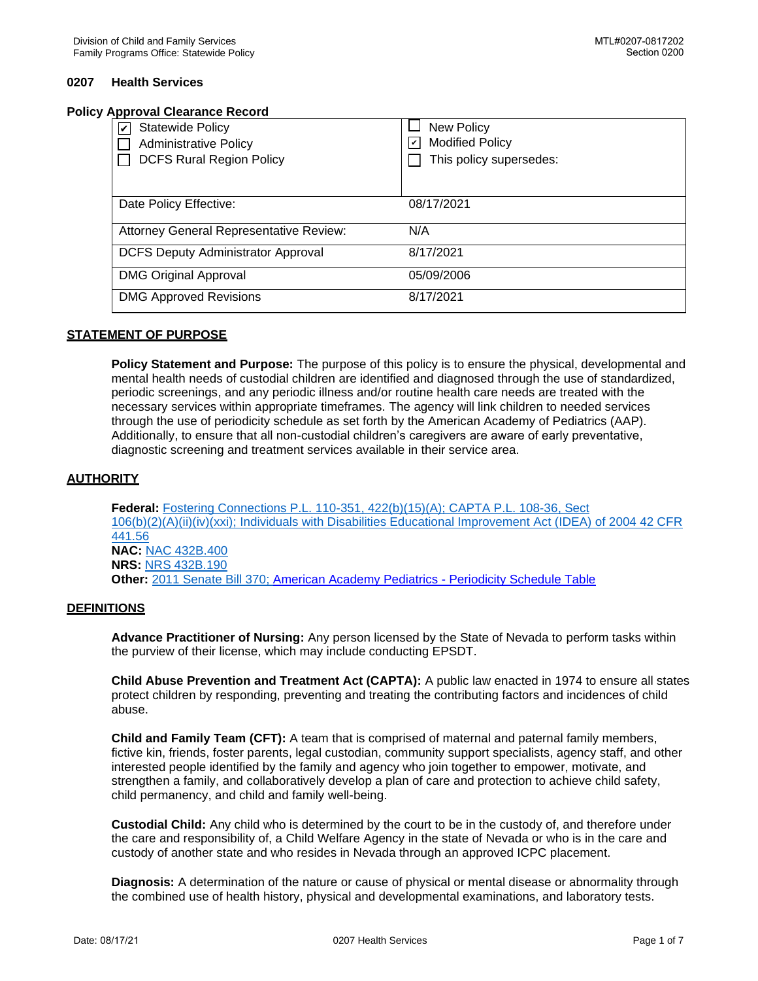### **Policy Approval Clearance Record**

| <b>Statewide Policy</b><br>V              | <b>New Policy</b>                                     |
|-------------------------------------------|-------------------------------------------------------|
| <b>Administrative Policy</b>              | <b>Modified Policy</b><br>$\vert\bm{\mathsf{v}}\vert$ |
| <b>DCFS Rural Region Policy</b>           | This policy supersedes:                               |
|                                           |                                                       |
| Date Policy Effective:                    | 08/17/2021                                            |
| Attorney General Representative Review:   | N/A                                                   |
| <b>DCFS Deputy Administrator Approval</b> | 8/17/2021                                             |
| <b>DMG Original Approval</b>              | 05/09/2006                                            |
| <b>DMG Approved Revisions</b>             | 8/17/2021                                             |

### **STATEMENT OF PURPOSE**

**Policy Statement and Purpose:** The purpose of this policy is to ensure the physical, developmental and mental health needs of custodial children are identified and diagnosed through the use of standardized, periodic screenings, and any periodic illness and/or routine health care needs are treated with the necessary services within appropriate timeframes. The agency will link children to needed services through the use of periodicity schedule as set forth by the American Academy of Pediatrics (AAP). Additionally, to ensure that all non-custodial children's caregivers are aware of early preventative, diagnostic screening and treatment services available in their service area.

#### **AUTHORITY**

**Federal:** [Fostering Connections P.L. 110-351, 422\(b\)\(15\)\(A\);](https://www.govinfo.gov/content/pkg/PLAW-110publ351/html/PLAW-110publ351.htm) [CAPTA P.L. 108-36, Sect](https://www.govinfo.gov/content/pkg/PLAW-108publ36/html/PLAW-108publ36.htm)  [106\(b\)\(2\)\(A\)\(ii\)\(iv\)\(xxi\);](https://www.govinfo.gov/content/pkg/PLAW-108publ36/html/PLAW-108publ36.htm) [Individuals with Disabilities Educational Improvement Act \(IDEA\) of 2004 42 CFR](https://ies.ed.gov/ncser/pdf/pl108-446.pdf)  [441.56](https://ies.ed.gov/ncser/pdf/pl108-446.pdf) **NAC:** [NAC 432B.400](https://www.leg.state.nv.us/NAC/NAC-432B.html#NAC432BSec400) **NRS:** [NRS 432B.190](https://www.leg.state.nv.us/NRS/NRS-432B.html#NRS432BSec190) **Other:** [2011 Senate Bill 370;](https://www.leg.state.nv.us/Division/Research/Publications/SoL/2011SoL.pdf) [American Academy Pediatrics - Periodicity Schedule Table](https://downloads.aap.org/AAP/PDF/periodicity_schedule.pdf)

#### **DEFINITIONS**

**Advance Practitioner of Nursing:** Any person licensed by the State of Nevada to perform tasks within the purview of their license, which may include conducting EPSDT.

**Child Abuse Prevention and Treatment Act (CAPTA):** A public law enacted in 1974 to ensure all states protect children by responding, preventing and treating the contributing factors and incidences of child abuse.

**Child and Family Team (CFT):** A team that is comprised of maternal and paternal family members, fictive kin, friends, foster parents, legal custodian, community support specialists, agency staff, and other interested people identified by the family and agency who join together to empower, motivate, and strengthen a family, and collaboratively develop a plan of care and protection to achieve child safety, child permanency, and child and family well-being.

**Custodial Child:** Any child who is determined by the court to be in the custody of, and therefore under the care and responsibility of, a Child Welfare Agency in the state of Nevada or who is in the care and custody of another state and who resides in Nevada through an approved ICPC placement.

**Diagnosis:** A determination of the nature or cause of physical or mental disease or abnormality through the combined use of health history, physical and developmental examinations, and laboratory tests.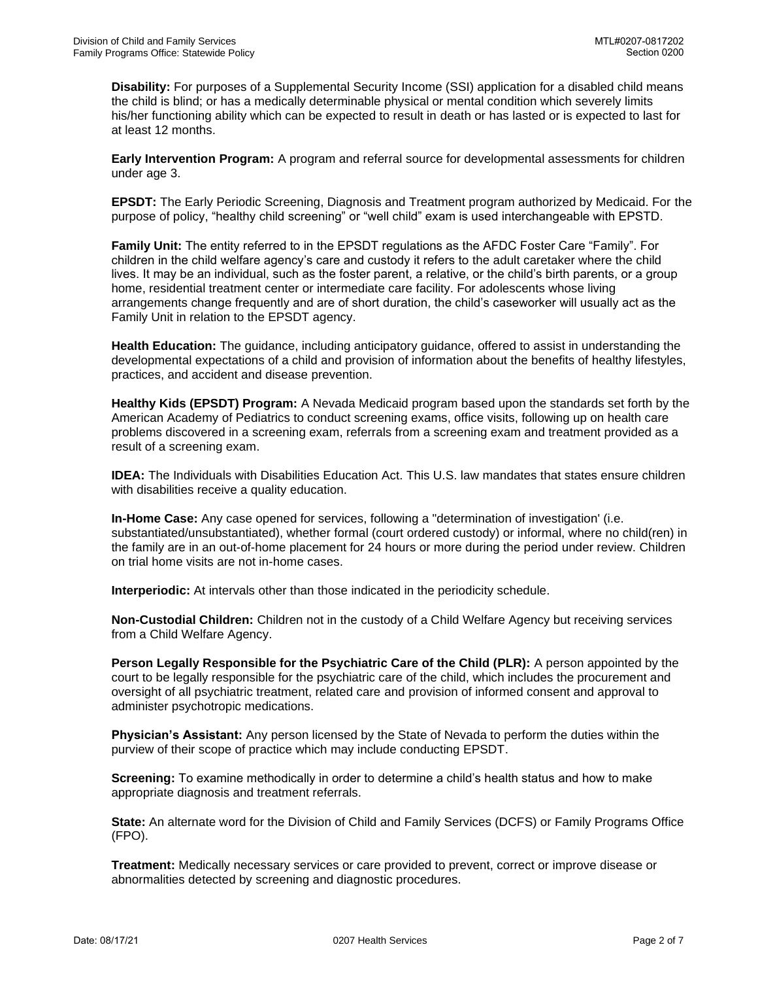**Disability:** For purposes of a Supplemental Security Income (SSI) application for a disabled child means the child is blind; or has a medically determinable physical or mental condition which severely limits his/her functioning ability which can be expected to result in death or has lasted or is expected to last for at least 12 months.

**Early Intervention Program:** A program and referral source for developmental assessments for children under age 3.

**EPSDT:** The Early Periodic Screening, Diagnosis and Treatment program authorized by Medicaid. For the purpose of policy, "healthy child screening" or "well child" exam is used interchangeable with EPSTD.

**Family Unit:** The entity referred to in the EPSDT regulations as the AFDC Foster Care "Family". For children in the child welfare agency's care and custody it refers to the adult caretaker where the child lives. It may be an individual, such as the foster parent, a relative, or the child's birth parents, or a group home, residential treatment center or intermediate care facility. For adolescents whose living arrangements change frequently and are of short duration, the child's caseworker will usually act as the Family Unit in relation to the EPSDT agency.

**Health Education:** The guidance, including anticipatory guidance, offered to assist in understanding the developmental expectations of a child and provision of information about the benefits of healthy lifestyles, practices, and accident and disease prevention.

**Healthy Kids (EPSDT) Program:** A Nevada Medicaid program based upon the standards set forth by the American Academy of Pediatrics to conduct screening exams, office visits, following up on health care problems discovered in a screening exam, referrals from a screening exam and treatment provided as a result of a screening exam.

**IDEA:** The Individuals with Disabilities Education Act. This U.S. law mandates that states ensure children with disabilities receive a quality education.

**In-Home Case:** Any case opened for services, following a "determination of investigation' (i.e. substantiated/unsubstantiated), whether formal (court ordered custody) or informal, where no child(ren) in the family are in an out-of-home placement for 24 hours or more during the period under review. Children on trial home visits are not in-home cases.

**Interperiodic:** At intervals other than those indicated in the periodicity schedule.

**Non-Custodial Children:** Children not in the custody of a Child Welfare Agency but receiving services from a Child Welfare Agency.

**Person Legally Responsible for the Psychiatric Care of the Child (PLR):** A person appointed by the court to be legally responsible for the psychiatric care of the child, which includes the procurement and oversight of all psychiatric treatment, related care and provision of informed consent and approval to administer psychotropic medications.

**Physician's Assistant:** Any person licensed by the State of Nevada to perform the duties within the purview of their scope of practice which may include conducting EPSDT.

**Screening:** To examine methodically in order to determine a child's health status and how to make appropriate diagnosis and treatment referrals.

**State:** An alternate word for the Division of Child and Family Services (DCFS) or Family Programs Office (FPO).

**Treatment:** Medically necessary services or care provided to prevent, correct or improve disease or abnormalities detected by screening and diagnostic procedures.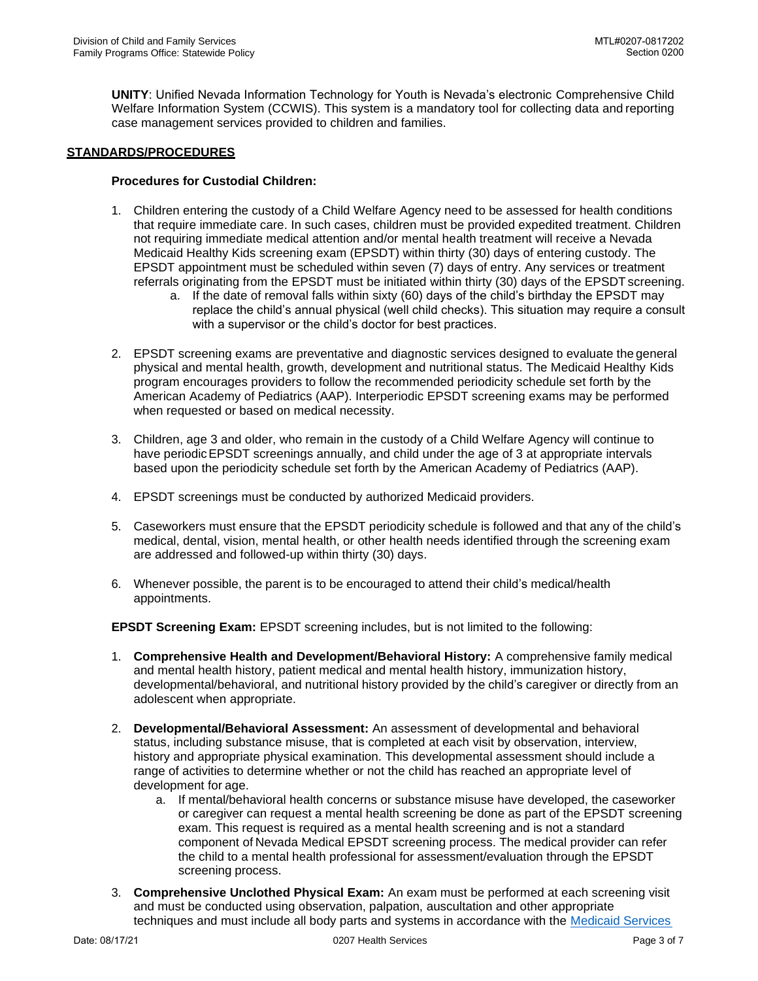**UNITY**: Unified Nevada Information Technology for Youth is Nevada's electronic Comprehensive Child Welfare Information System (CCWIS). This system is a mandatory tool for collecting data and reporting case management services provided to children and families.

### **STANDARDS/PROCEDURES**

### **Procedures for Custodial Children:**

- 1. Children entering the custody of a Child Welfare Agency need to be assessed for health conditions that require immediate care. In such cases, children must be provided expedited treatment. Children not requiring immediate medical attention and/or mental health treatment will receive a Nevada Medicaid Healthy Kids screening exam (EPSDT) within thirty (30) days of entering custody. The EPSDT appointment must be scheduled within seven (7) days of entry. Any services or treatment referrals originating from the EPSDT must be initiated within thirty (30) days of the EPSDT screening.
	- a. If the date of removal falls within sixty (60) days of the child's birthday the EPSDT may replace the child's annual physical (well child checks). This situation may require a consult with a supervisor or the child's doctor for best practices.
- 2. EPSDT screening exams are preventative and diagnostic services designed to evaluate the general physical and mental health, growth, development and nutritional status. The Medicaid Healthy Kids program encourages providers to follow the recommended periodicity schedule set forth by the American Academy of Pediatrics (AAP). Interperiodic EPSDT screening exams may be performed when requested or based on medical necessity.
- 3. Children, age 3 and older, who remain in the custody of a Child Welfare Agency will continue to have periodic EPSDT screenings annually, and child under the age of 3 at appropriate intervals based upon the periodicity schedule set forth by the American Academy of Pediatrics (AAP).
- 4. EPSDT screenings must be conducted by authorized Medicaid providers.
- 5. Caseworkers must ensure that the EPSDT periodicity schedule is followed and that any of the child's medical, dental, vision, mental health, or other health needs identified through the screening exam are addressed and followed-up within thirty (30) days.
- 6. Whenever possible, the parent is to be encouraged to attend their child's medical/health appointments.

**EPSDT Screening Exam:** EPSDT screening includes, but is not limited to the following:

- 1. **Comprehensive Health and Development/Behavioral History:** A comprehensive family medical and mental health history, patient medical and mental health history, immunization history, developmental/behavioral, and nutritional history provided by the child's caregiver or directly from an adolescent when appropriate.
- 2. **Developmental/Behavioral Assessment:** An assessment of developmental and behavioral status, including substance misuse, that is completed at each visit by observation, interview, history and appropriate physical examination. This developmental assessment should include a range of activities to determine whether or not the child has reached an appropriate level of development for age.
	- a. If mental/behavioral health concerns or substance misuse have developed, the caseworker or caregiver can request a mental health screening be done as part of the EPSDT screening exam. This request is required as a mental health screening and is not a standard component of Nevada Medical EPSDT screening process. The medical provider can refer the child to a mental health professional for assessment/evaluation through the EPSDT screening process.
- 3. **Comprehensive Unclothed Physical Exam:** An exam must be performed at each screening visit and must be conducted using observation, palpation, auscultation and other appropriate techniques and must include all body parts and systems in accordance with the [Medicaid Services](http://dhcfp.nv.gov/Resources/AdminSupport/Manuals/MSM/C1500/Chapter1500/)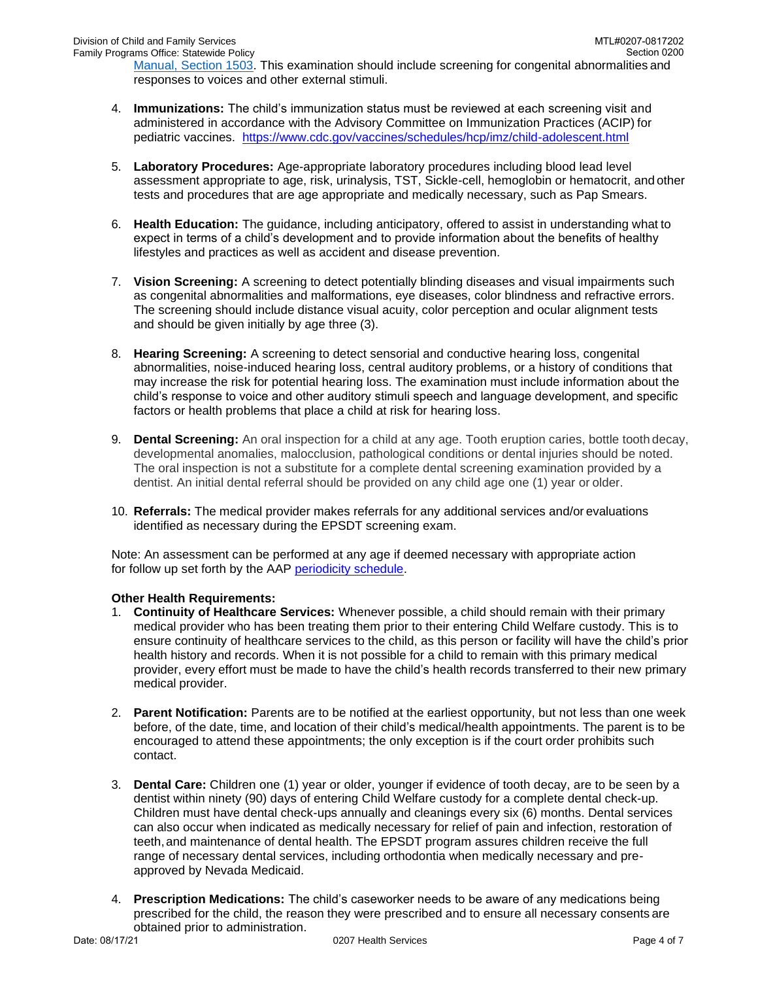[Manual, Section 1503. T](http://dhcfp.nv.gov/Resources/AdminSupport/Manuals/MSM/C1500/Chapter1500/)his examination should include screening for congenital abnormalities and responses to voices and other external stimuli.

- 4. **Immunizations:** The child's immunization status must be reviewed at each screening visit and administered in accordance with the Advisory Committee on Immunization Practices (ACIP) for pediatric vaccines. <https://www.cdc.gov/vaccines/schedules/hcp/imz/child-adolescent.html>
- 5. **Laboratory Procedures:** Age-appropriate laboratory procedures including blood lead level assessment appropriate to age, risk, urinalysis, TST, Sickle-cell, hemoglobin or hematocrit, and other tests and procedures that are age appropriate and medically necessary, such as Pap Smears.
- 6. **Health Education:** The guidance, including anticipatory, offered to assist in understanding what to expect in terms of a child's development and to provide information about the benefits of healthy lifestyles and practices as well as accident and disease prevention.
- 7. **Vision Screening:** A screening to detect potentially blinding diseases and visual impairments such as congenital abnormalities and malformations, eye diseases, color blindness and refractive errors. The screening should include distance visual acuity, color perception and ocular alignment tests and should be given initially by age three (3).
- 8. **Hearing Screening:** A screening to detect sensorial and conductive hearing loss, congenital abnormalities, noise-induced hearing loss, central auditory problems, or a history of conditions that may increase the risk for potential hearing loss. The examination must include information about the child's response to voice and other auditory stimuli speech and language development, and specific factors or health problems that place a child at risk for hearing loss.
- 9. **Dental Screening:** An oral inspection for a child at any age. Tooth eruption caries, bottle tooth decay, developmental anomalies, malocclusion, pathological conditions or dental injuries should be noted. The oral inspection is not a substitute for a complete dental screening examination provided by a dentist. An initial dental referral should be provided on any child age one (1) year or older.
- 10. **Referrals:** The medical provider makes referrals for any additional services and/or evaluations identified as necessary during the EPSDT screening exam.

Note: An assessment can be performed at any age if deemed necessary with appropriate action for follow up set forth by the AAP [periodicity schedule.](https://downloads.aap.org/AAP/PDF/periodicity_schedule.pdf)

## **Other Health Requirements:**

- 1. **Continuity of Healthcare Services:** Whenever possible, a child should remain with their primary medical provider who has been treating them prior to their entering Child Welfare custody. This is to ensure continuity of healthcare services to the child, as this person or facility will have the child's prior health history and records. When it is not possible for a child to remain with this primary medical provider, every effort must be made to have the child's health records transferred to their new primary medical provider.
- 2. **Parent Notification:** Parents are to be notified at the earliest opportunity, but not less than one week before, of the date, time, and location of their child's medical/health appointments. The parent is to be encouraged to attend these appointments; the only exception is if the court order prohibits such contact.
- 3. **Dental Care:** Children one (1) year or older, younger if evidence of tooth decay, are to be seen by a dentist within ninety (90) days of entering Child Welfare custody for a complete dental check-up. Children must have dental check-ups annually and cleanings every six (6) months. Dental services can also occur when indicated as medically necessary for relief of pain and infection, restoration of teeth,and maintenance of dental health. The EPSDT program assures children receive the full range of necessary dental services, including orthodontia when medically necessary and preapproved by Nevada Medicaid.
- 4. **Prescription Medications:** The child's caseworker needs to be aware of any medications being prescribed for the child, the reason they were prescribed and to ensure all necessary consents are obtained prior to administration.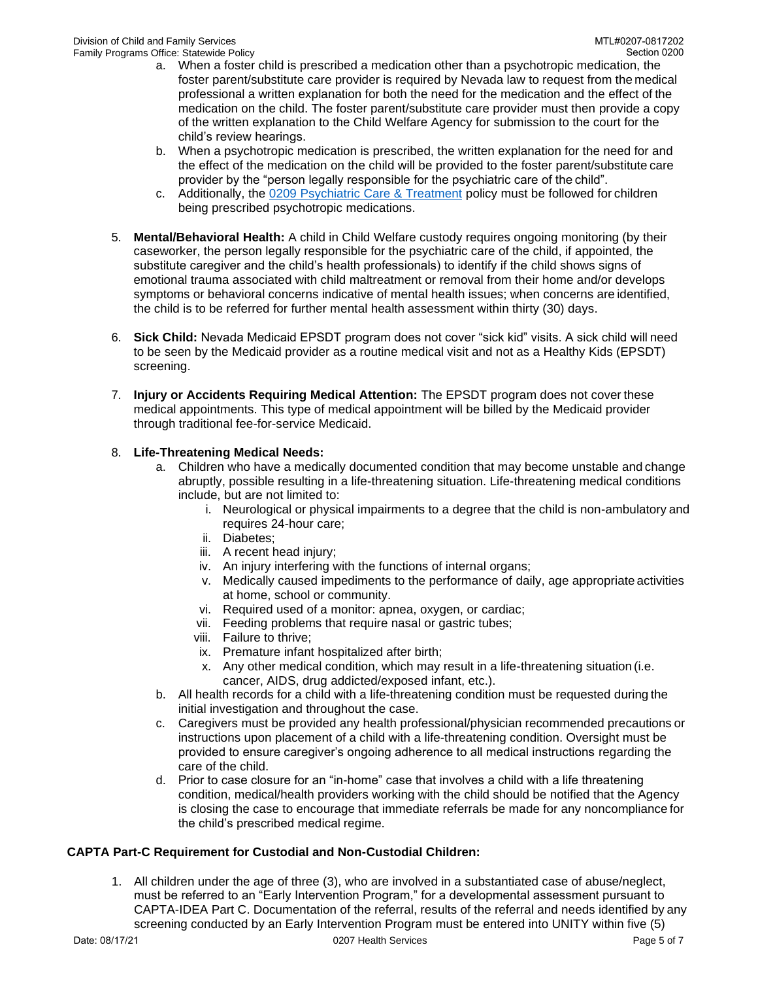- a. When a foster child is prescribed a medication other than a psychotropic medication, the foster parent/substitute care provider is required by Nevada law to request from the medical professional a written explanation for both the need for the medication and the effect of the medication on the child. The foster parent/substitute care provider must then provide a copy of the written explanation to the Child Welfare Agency for submission to the court for the child's review hearings.
- b. When a psychotropic medication is prescribed, the written explanation for the need for and the effect of the medication on the child will be provided to the foster parent/substitute care provider by the "person legally responsible for the psychiatric care of the child".
- c. Additionally, the [0209 Psychiatric Care & Treatment p](http://dcfs.nv.gov/uploadedFiles/dcfsnvgov/content/Policies/CW/0209_Psychiatric_Care_Treatment_MTL(1).pdf)olicy must be followed for children being prescribed psychotropic medications.
- 5. **Mental/Behavioral Health:** A child in Child Welfare custody requires ongoing monitoring (by their caseworker, the person legally responsible for the psychiatric care of the child, if appointed, the substitute caregiver and the child's health professionals) to identify if the child shows signs of emotional trauma associated with child maltreatment or removal from their home and/or develops symptoms or behavioral concerns indicative of mental health issues; when concerns are identified, the child is to be referred for further mental health assessment within thirty (30) days.
- 6. **Sick Child:** Nevada Medicaid EPSDT program does not cover "sick kid" visits. A sick child will need to be seen by the Medicaid provider as a routine medical visit and not as a Healthy Kids (EPSDT) screening.
- 7. **Injury or Accidents Requiring Medical Attention:** The EPSDT program does not cover these medical appointments. This type of medical appointment will be billed by the Medicaid provider through traditional fee-for-service Medicaid.

## 8. **Life-Threatening Medical Needs:**

- a. Children who have a medically documented condition that may become unstable and change abruptly, possible resulting in a life-threatening situation. Life-threatening medical conditions include, but are not limited to:
	- i. Neurological or physical impairments to a degree that the child is non-ambulatory and requires 24-hour care;
	- ii. Diabetes;
	- iii. A recent head injury;
	- iv. An injury interfering with the functions of internal organs;
	- v. Medically caused impediments to the performance of daily, age appropriate activities at home, school or community.
	- vi. Required used of a monitor: apnea, oxygen, or cardiac;
	- vii. Feeding problems that require nasal or gastric tubes;
	- viii. Failure to thrive;
	- ix. Premature infant hospitalized after birth;
	- x. Any other medical condition, which may result in a life-threatening situation (i.e. cancer, AIDS, drug addicted/exposed infant, etc.).
- b. All health records for a child with a life-threatening condition must be requested during the initial investigation and throughout the case.
- c. Caregivers must be provided any health professional/physician recommended precautions or instructions upon placement of a child with a life-threatening condition. Oversight must be provided to ensure caregiver's ongoing adherence to all medical instructions regarding the care of the child.
- d. Prior to case closure for an "in-home" case that involves a child with a life threatening condition, medical/health providers working with the child should be notified that the Agency is closing the case to encourage that immediate referrals be made for any noncompliance for the child's prescribed medical regime.

## **CAPTA Part-C Requirement for Custodial and Non-Custodial Children:**

1. All children under the age of three (3), who are involved in a substantiated case of abuse/neglect, must be referred to an "Early Intervention Program," for a developmental assessment pursuant to CAPTA-IDEA Part C. Documentation of the referral, results of the referral and needs identified by any screening conducted by an Early Intervention Program must be entered into UNITY within five (5)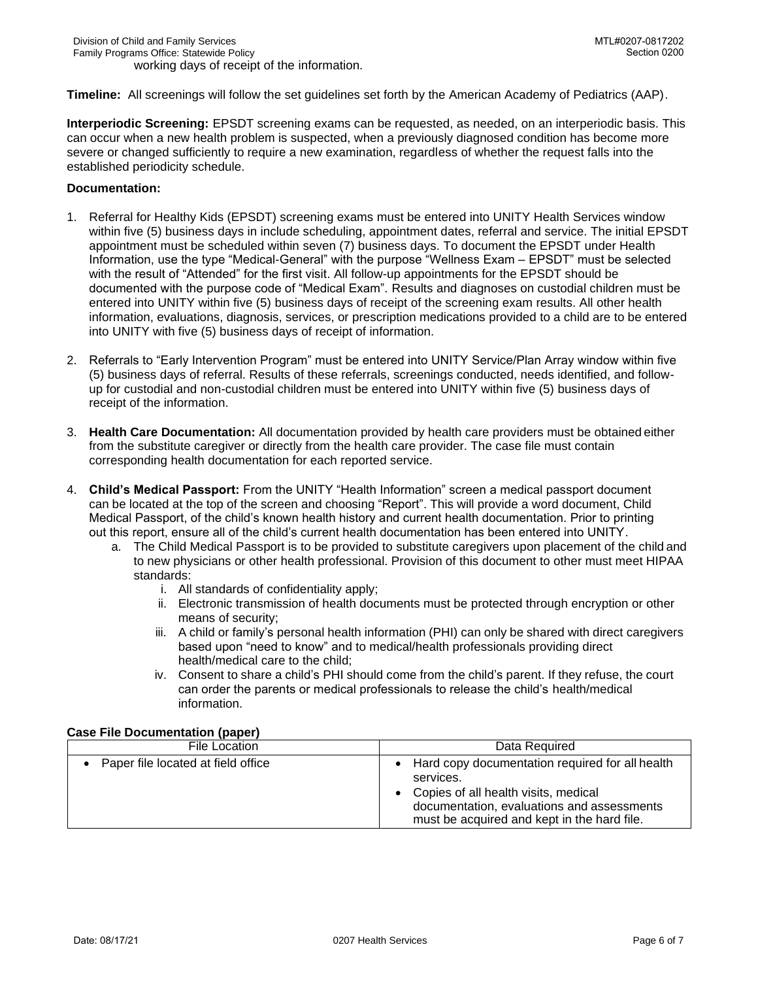**Timeline:** All screenings will follow the set guidelines set forth by the American Academy of Pediatrics (AAP).

**Interperiodic Screening:** EPSDT screening exams can be requested, as needed, on an interperiodic basis. This can occur when a new health problem is suspected, when a previously diagnosed condition has become more severe or changed sufficiently to require a new examination, regardless of whether the request falls into the established periodicity schedule.

### **Documentation:**

- 1. Referral for Healthy Kids (EPSDT) screening exams must be entered into UNITY Health Services window within five (5) business days in include scheduling, appointment dates, referral and service. The initial EPSDT appointment must be scheduled within seven (7) business days. To document the EPSDT under Health Information, use the type "Medical-General" with the purpose "Wellness Exam – EPSDT" must be selected with the result of "Attended" for the first visit. All follow-up appointments for the EPSDT should be documented with the purpose code of "Medical Exam". Results and diagnoses on custodial children must be entered into UNITY within five (5) business days of receipt of the screening exam results. All other health information, evaluations, diagnosis, services, or prescription medications provided to a child are to be entered into UNITY with five (5) business days of receipt of information.
- 2. Referrals to "Early Intervention Program" must be entered into UNITY Service/Plan Array window within five (5) business days of referral. Results of these referrals, screenings conducted, needs identified, and followup for custodial and non-custodial children must be entered into UNITY within five (5) business days of receipt of the information.
- 3. **Health Care Documentation:** All documentation provided by health care providers must be obtained either from the substitute caregiver or directly from the health care provider. The case file must contain corresponding health documentation for each reported service.
- 4. **Child's Medical Passport:** From the UNITY "Health Information" screen a medical passport document can be located at the top of the screen and choosing "Report". This will provide a word document, Child Medical Passport, of the child's known health history and current health documentation. Prior to printing out this report, ensure all of the child's current health documentation has been entered into UNITY.
	- a. The Child Medical Passport is to be provided to substitute caregivers upon placement of the child and to new physicians or other health professional. Provision of this document to other must meet HIPAA standards:
		- i. All standards of confidentiality apply;
		- ii. Electronic transmission of health documents must be protected through encryption or other means of security;
		- iii. A child or family's personal health information (PHI) can only be shared with direct caregivers based upon "need to know" and to medical/health professionals providing direct health/medical care to the child;
		- iv. Consent to share a child's PHI should come from the child's parent. If they refuse, the court can order the parents or medical professionals to release the child's health/medical information.

| File Location                      | Data Reguired                                                                                                                                                                                                    |
|------------------------------------|------------------------------------------------------------------------------------------------------------------------------------------------------------------------------------------------------------------|
| Paper file located at field office | • Hard copy documentation required for all health<br>services.<br>Copies of all health visits, medical<br>$\bullet$<br>documentation, evaluations and assessments<br>must be acquired and kept in the hard file. |

### **Case File Documentation (paper)**